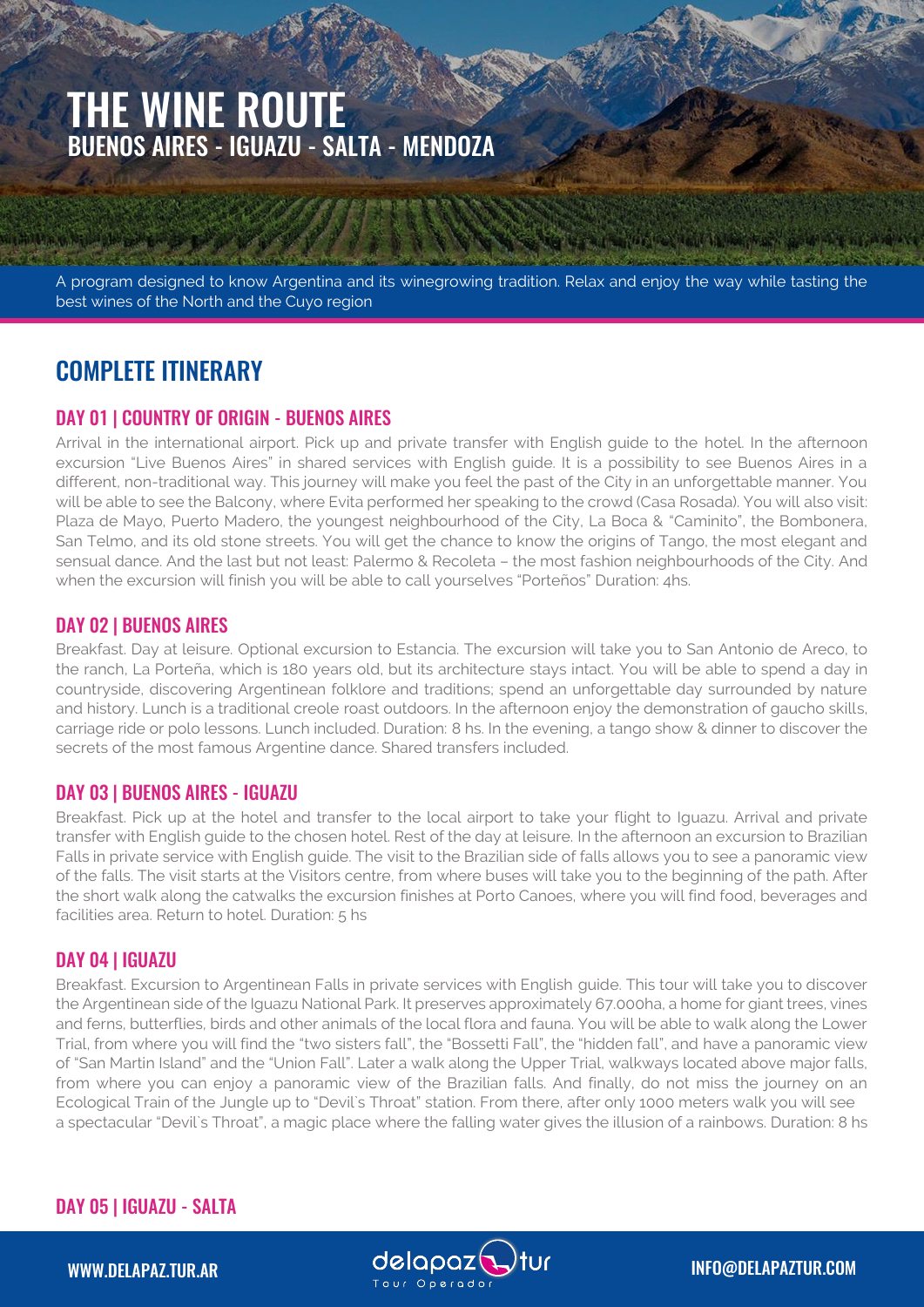# THE WINE ROUTE BUENOS AIRES - IGUAZU - SALTA - MENDOZA

A program designed to know Argentina and its winegrowing tradition. Relax and enjoy the way while tasting the best wines of the North and the Cuyo region

# COMPLETE ITINERARY

## DAY 01 | COUNTRY OF ORIGIN - BUENOS AIRES

Arrival in the international airport. Pick up and private transfer with English guide to the hotel. In the afternoon excursion "Live Buenos Aires" in shared services with English guide. It is a possibility to see Buenos Aires in a different, non-traditional way. This journey will make you feel the past of the City in an unforgettable manner. You will be able to see the Balcony, where Evita performed her speaking to the crowd (Casa Rosada). You will also visit: Plaza de Mayo, Puerto Madero, the youngest neighbourhood of the City, La Boca & "Caminito", the Bombonera, San Telmo, and its old stone streets. You will get the chance to know the origins of Tango, the most elegant and sensual dance. And the last but not least: Palermo & Recoleta – the most fashion neighbourhoods of the City. And when the excursion will finish you will be able to call yourselves "Porteños" Duration: 4hs.

#### DAY 02 | BUENOS AIRES

Breakfast. Day at leisure. Optional excursion to Estancia. The excursion will take you to San Antonio de Areco, to the ranch, La Porteña, which is 180 years old, but its architecture stays intact. You will be able to spend a day in countryside, discovering Argentinean folklore and traditions; spend an unforgettable day surrounded by nature and history. Lunch is a traditional creole roast outdoors. In the afternoon enjoy the demonstration of gaucho skills, carriage ride or polo lessons. Lunch included. Duration: 8 hs. In the evening, a tango show & dinner to discover the secrets of the most famous Argentine dance. Shared transfers included.

#### DAY 03 | BUENOS AIRES - IGUAZU

Breakfast. Pick up at the hotel and transfer to the local airport to take your flight to Iguazu. Arrival and private transfer with English guide to the chosen hotel. Rest of the day at leisure. In the afternoon an excursion to Brazilian Falls in private service with English guide. The visit to the Brazilian side of falls allows you to see a panoramic view of the falls. The visit starts at the Visitors centre, from where buses will take you to the beginning of the path. After the short walk along the catwalks the excursion finishes at Porto Canoes, where you will find food, beverages and facilities area. Return to hotel. Duration: 5 hs

#### DAY 04 | IGUAZU

Breakfast. Excursion to Argentinean Falls in private services with English guide. This tour will take you to discover the Argentinean side of the Iguazu National Park. It preserves approximately 67.000ha, a home for giant trees, vines and ferns, butterflies, birds and other animals of the local flora and fauna. You will be able to walk along the Lower Trial, from where you will find the "two sisters fall", the "Bossetti Fall", the "hidden fall", and have a panoramic view of "San Martin Island" and the "Union Fall". Later a walk along the Upper Trial, walkways located above major falls, from where you can enjoy a panoramic view of the Brazilian falls. And finally, do not miss the journey on an Ecological Train of the Jungle up to "Devil`s Throat" station. From there, after only 1000 meters walk you will see a spectacular "Devil`s Throat", a magic place where the falling water gives the illusion of a rainbows. Duration: 8 hs

# DAY 05 | IGUAZU - SALTA

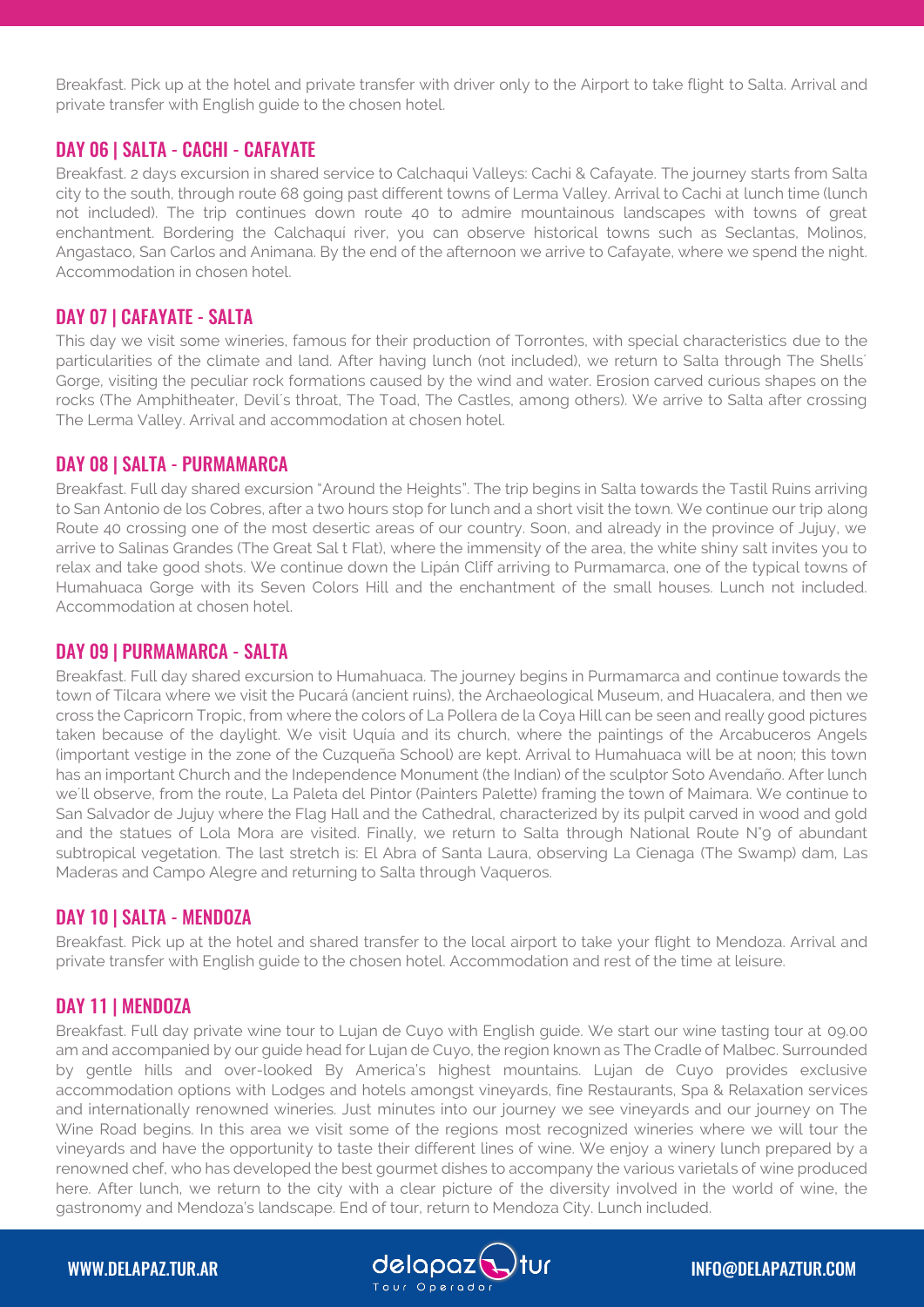Breakfast. Pick up at the hotel and private transfer with driver only to the Airport to take flight to Salta. Arrival and private transfer with English guide to the chosen hotel.

## DAY 06 | SALTA - CACHI - CAFAYATE

Breakfast. 2 days excursion in shared service to Calchaqui Valleys: Cachi & Cafayate. The journey starts from Salta city to the south, through route 68 going past different towns of Lerma Valley. Arrival to Cachi at lunch time (lunch not included). The trip continues down route 40 to admire mountainous landscapes with towns of great enchantment. Bordering the Calchaquí river, you can observe historical towns such as Seclantas, Molinos, Angastaco, San Carlos and Animana. By the end of the afternoon we arrive to Cafayate, where we spend the night. Accommodation in chosen hotel.

## DAY 07 | CAFAYATE - SALTA

This day we visit some wineries, famous for their production of Torrontes, with special characteristics due to the particularities of the climate and land. After having lunch (not included), we return to Salta through The Shells´ Gorge, visiting the peculiar rock formations caused by the wind and water. Erosion carved curious shapes on the rocks (The Amphitheater, Devil´s throat, The Toad, The Castles, among others). We arrive to Salta after crossing The Lerma Valley. Arrival and accommodation at chosen hotel.

#### DAY 08 | SALTA - PURMAMARCA

Breakfast. Full day shared excursion "Around the Heights". The trip begins in Salta towards the Tastil Ruins arriving to San Antonio de los Cobres, after a two hours stop for lunch and a short visit the town. We continue our trip along Route 40 crossing one of the most desertic areas of our country. Soon, and already in the province of Jujuy, we arrive to Salinas Grandes (The Great Sal t Flat), where the immensity of the area, the white shiny salt invites you to relax and take good shots. We continue down the Lipán Cliff arriving to Purmamarca, one of the typical towns of Humahuaca Gorge with its Seven Colors Hill and the enchantment of the small houses. Lunch not included. Accommodation at chosen hotel.

#### DAY 09 | PURMAMARCA - SALTA

Breakfast. Full day shared excursion to Humahuaca. The journey begins in Purmamarca and continue towards the town of Tilcara where we visit the Pucará (ancient ruins), the Archaeological Museum, and Huacalera, and then we cross the Capricorn Tropic, from where the colors of La Pollera de la Coya Hill can be seen and really good pictures taken because of the daylight. We visit Uquía and its church, where the paintings of the Arcabuceros Angels (important vestige in the zone of the Cuzqueña School) are kept. Arrival to Humahuaca will be at noon; this town has an important Church and the Independence Monument (the Indian) of the sculptor Soto Avendaño. After lunch we´ll observe, from the route, La Paleta del Pintor (Painters Palette) framing the town of Maimara. We continue to San Salvador de Jujuy where the Flag Hall and the Cathedral, characterized by its pulpit carved in wood and gold and the statues of Lola Mora are visited. Finally, we return to Salta through National Route N°9 of abundant subtropical vegetation. The last stretch is: El Abra of Santa Laura, observing La Cienaga (The Swamp) dam, Las Maderas and Campo Alegre and returning to Salta through Vaqueros.

#### DAY 10 | SALTA - MENDOZA

Breakfast. Pick up at the hotel and shared transfer to the local airport to take your flight to Mendoza. Arrival and private transfer with English guide to the chosen hotel. Accommodation and rest of the time at leisure.

#### DAY 11 | MENDOZA

Breakfast. Full day private wine tour to Lujan de Cuyo with English guide. We start our wine tasting tour at 09.00 am and accompanied by our guide head for Lujan de Cuyo, the region known as The Cradle of Malbec. Surrounded by gentle hills and over-looked By America's highest mountains. Lujan de Cuyo provides exclusive accommodation options with Lodges and hotels amongst vineyards, fine Restaurants, Spa & Relaxation services and internationally renowned wineries. Just minutes into our journey we see vineyards and our journey on The Wine Road begins. In this area we visit some of the regions most recognized wineries where we will tour the vineyards and have the opportunity to taste their different lines of wine. We enjoy a winery lunch prepared by a renowned chef, who has developed the best gourmet dishes to accompany the various varietals of wine produced here. After lunch, we return to the city with a clear picture of the diversity involved in the world of wine, the gastronomy and Mendoza's landscape. End of tour, return to Mendoza City. Lunch included.